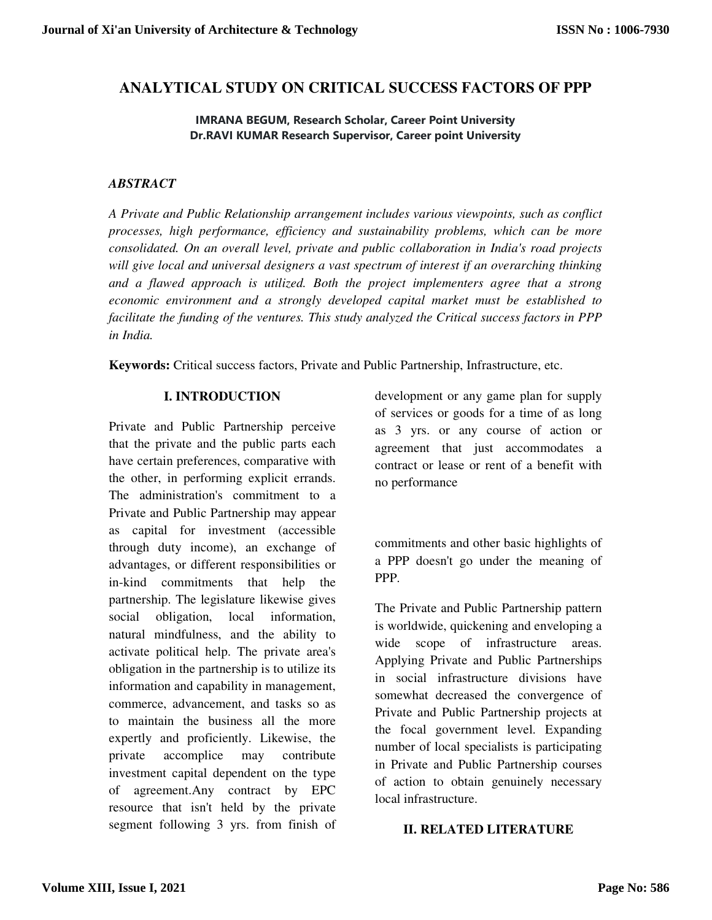# **ANALYTICAL STUDY ON CRITICAL SUCCESS FACTORS OF PPP**

#### **IMRANA BEGUM, Research Scholar, Career Point University Dr.RAVI KUMAR Research Supervisor, Career point University**

#### *ABSTRACT*

*A Private and Public Relationship arrangement includes various viewpoints, such as conflict processes, high performance, efficiency and sustainability problems, which can be more consolidated. On an overall level, private and public collaboration in India's road projects will give local and universal designers a vast spectrum of interest if an overarching thinking and a flawed approach is utilized. Both the project implementers agree that a strong economic environment and a strongly developed capital market must be established to facilitate the funding of the ventures. This study analyzed the Critical success factors in PPP in India.* 

**Keywords:** Critical success factors, Private and Public Partnership, Infrastructure, etc.

#### **I. INTRODUCTION**

Private and Public Partnership perceive that the private and the public parts each have certain preferences, comparative with the other, in performing explicit errands. The administration's commitment to a Private and Public Partnership may appear as capital for investment (accessible through duty income), an exchange of advantages, or different responsibilities or in-kind commitments that help the partnership. The legislature likewise gives social obligation, local information, natural mindfulness, and the ability to activate political help. The private area's obligation in the partnership is to utilize its information and capability in management, commerce, advancement, and tasks so as to maintain the business all the more expertly and proficiently. Likewise, the private accomplice may contribute investment capital dependent on the type of agreement.Any contract by EPC resource that isn't held by the private segment following 3 yrs. from finish of development or any game plan for supply of services or goods for a time of as long as 3 yrs. or any course of action or agreement that just accommodates a contract or lease or rent of a benefit with no performance

commitments and other basic highlights of a PPP doesn't go under the meaning of PPP.

The Private and Public Partnership pattern is worldwide, quickening and enveloping a wide scope of infrastructure areas. Applying Private and Public Partnerships in social infrastructure divisions have somewhat decreased the convergence of Private and Public Partnership projects at the focal government level. Expanding number of local specialists is participating in Private and Public Partnership courses of action to obtain genuinely necessary local infrastructure.

#### **II. RELATED LITERATURE**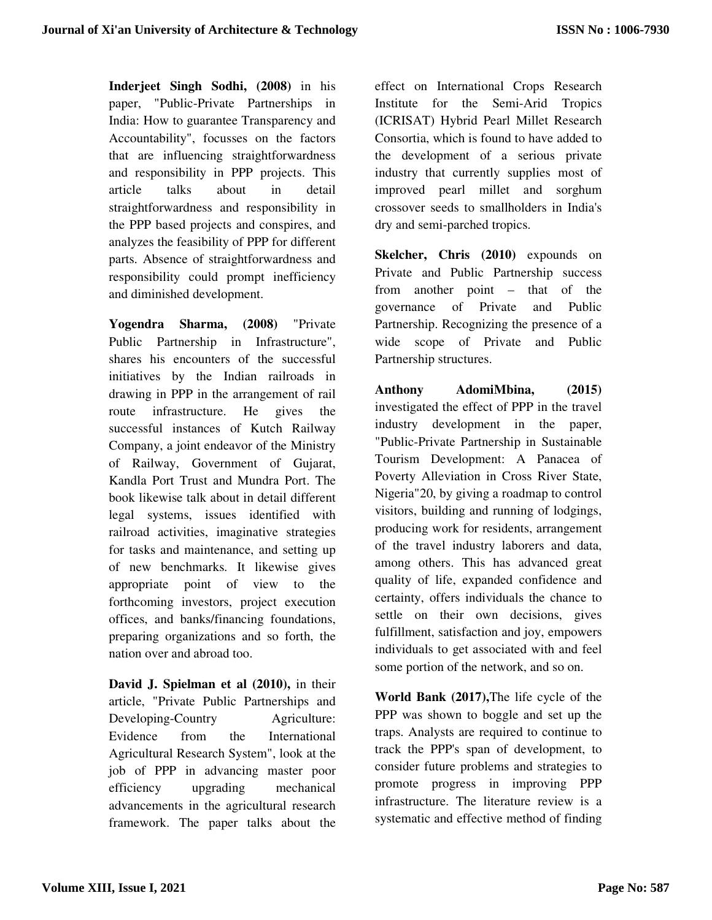**Inderjeet Singh Sodhi, (2008)** in his paper, "Public-Private Partnerships in India: How to guarantee Transparency and Accountability", focusses on the factors that are influencing straightforwardness and responsibility in PPP projects. This article talks about in detail straightforwardness and responsibility in the PPP based projects and conspires, and analyzes the feasibility of PPP for different parts. Absence of straightforwardness and responsibility could prompt inefficiency and diminished development.

**Yogendra Sharma, (2008)** "Private Public Partnership in Infrastructure", shares his encounters of the successful initiatives by the Indian railroads in drawing in PPP in the arrangement of rail route infrastructure. He gives the successful instances of Kutch Railway Company, a joint endeavor of the Ministry of Railway, Government of Gujarat, Kandla Port Trust and Mundra Port. The book likewise talk about in detail different legal systems, issues identified with railroad activities, imaginative strategies for tasks and maintenance, and setting up of new benchmarks. It likewise gives appropriate point of view to the forthcoming investors, project execution offices, and banks/financing foundations, preparing organizations and so forth, the nation over and abroad too.

**David J. Spielman et al (2010),** in their article, "Private Public Partnerships and Developing-Country Agriculture: Evidence from the International Agricultural Research System", look at the job of PPP in advancing master poor efficiency upgrading mechanical advancements in the agricultural research framework. The paper talks about the

effect on International Crops Research Institute for the Semi-Arid Tropics (ICRISAT) Hybrid Pearl Millet Research Consortia, which is found to have added to the development of a serious private industry that currently supplies most of improved pearl millet and sorghum crossover seeds to smallholders in India's dry and semi-parched tropics.

**Skelcher, Chris (2010)** expounds on Private and Public Partnership success from another point – that of the governance of Private and Public Partnership. Recognizing the presence of a wide scope of Private and Public Partnership structures.

**Anthony AdomiMbina, (2015)** investigated the effect of PPP in the travel industry development in the paper, "Public-Private Partnership in Sustainable Tourism Development: A Panacea of Poverty Alleviation in Cross River State, Nigeria"20, by giving a roadmap to control visitors, building and running of lodgings, producing work for residents, arrangement of the travel industry laborers and data, among others. This has advanced great quality of life, expanded confidence and certainty, offers individuals the chance to settle on their own decisions, gives fulfillment, satisfaction and joy, empowers individuals to get associated with and feel some portion of the network, and so on.

**World Bank (2017),**The life cycle of the PPP was shown to boggle and set up the traps. Analysts are required to continue to track the PPP's span of development, to consider future problems and strategies to promote progress in improving PPP infrastructure. The literature review is a systematic and effective method of finding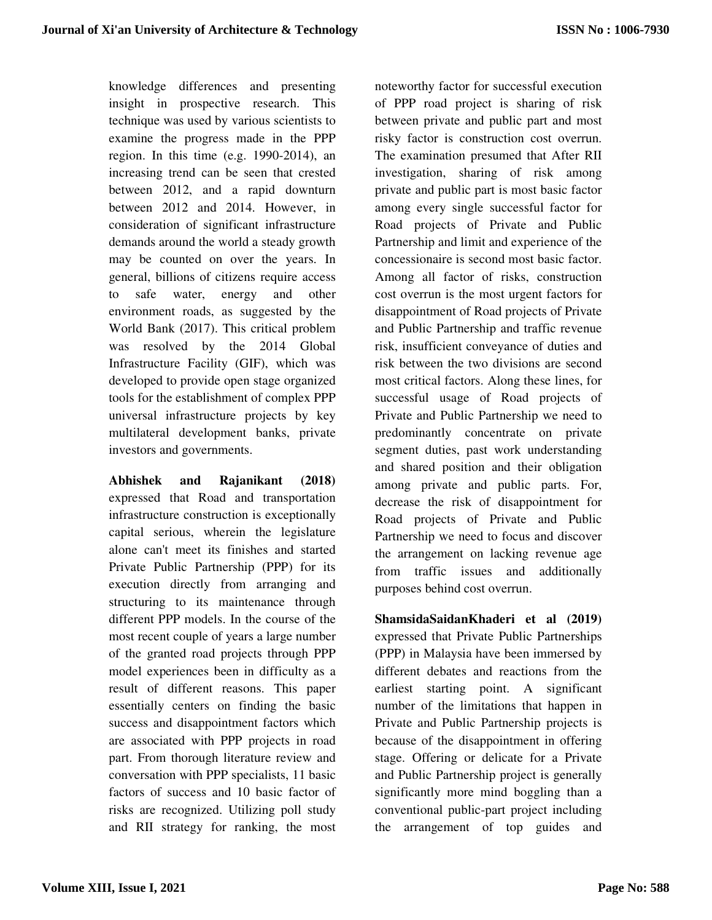knowledge differences and presenting insight in prospective research. This technique was used by various scientists to examine the progress made in the PPP region. In this time (e.g. 1990-2014), an increasing trend can be seen that crested between 2012, and a rapid downturn between 2012 and 2014. However, in consideration of significant infrastructure demands around the world a steady growth may be counted on over the years. In general, billions of citizens require access to safe water, energy and other environment roads, as suggested by the World Bank (2017). This critical problem was resolved by the 2014 Global Infrastructure Facility (GIF), which was developed to provide open stage organized tools for the establishment of complex PPP universal infrastructure projects by key multilateral development banks, private investors and governments.

**Abhishek and Rajanikant (2018)** expressed that Road and transportation infrastructure construction is exceptionally capital serious, wherein the legislature alone can't meet its finishes and started Private Public Partnership (PPP) for its execution directly from arranging and structuring to its maintenance through different PPP models. In the course of the most recent couple of years a large number of the granted road projects through PPP model experiences been in difficulty as a result of different reasons. This paper essentially centers on finding the basic success and disappointment factors which are associated with PPP projects in road part. From thorough literature review and conversation with PPP specialists, 11 basic factors of success and 10 basic factor of risks are recognized. Utilizing poll study and RII strategy for ranking, the most

noteworthy factor for successful execution of PPP road project is sharing of risk between private and public part and most risky factor is construction cost overrun. The examination presumed that After RII investigation, sharing of risk among private and public part is most basic factor among every single successful factor for Road projects of Private and Public Partnership and limit and experience of the concessionaire is second most basic factor. Among all factor of risks, construction cost overrun is the most urgent factors for disappointment of Road projects of Private and Public Partnership and traffic revenue risk, insufficient conveyance of duties and risk between the two divisions are second most critical factors. Along these lines, for successful usage of Road projects of Private and Public Partnership we need to predominantly concentrate on private segment duties, past work understanding and shared position and their obligation among private and public parts. For, decrease the risk of disappointment for Road projects of Private and Public Partnership we need to focus and discover the arrangement on lacking revenue age from traffic issues and additionally purposes behind cost overrun.

**ShamsidaSaidanKhaderi et al (2019)** expressed that Private Public Partnerships (PPP) in Malaysia have been immersed by different debates and reactions from the earliest starting point. A significant number of the limitations that happen in Private and Public Partnership projects is because of the disappointment in offering stage. Offering or delicate for a Private and Public Partnership project is generally significantly more mind boggling than a conventional public-part project including the arrangement of top guides and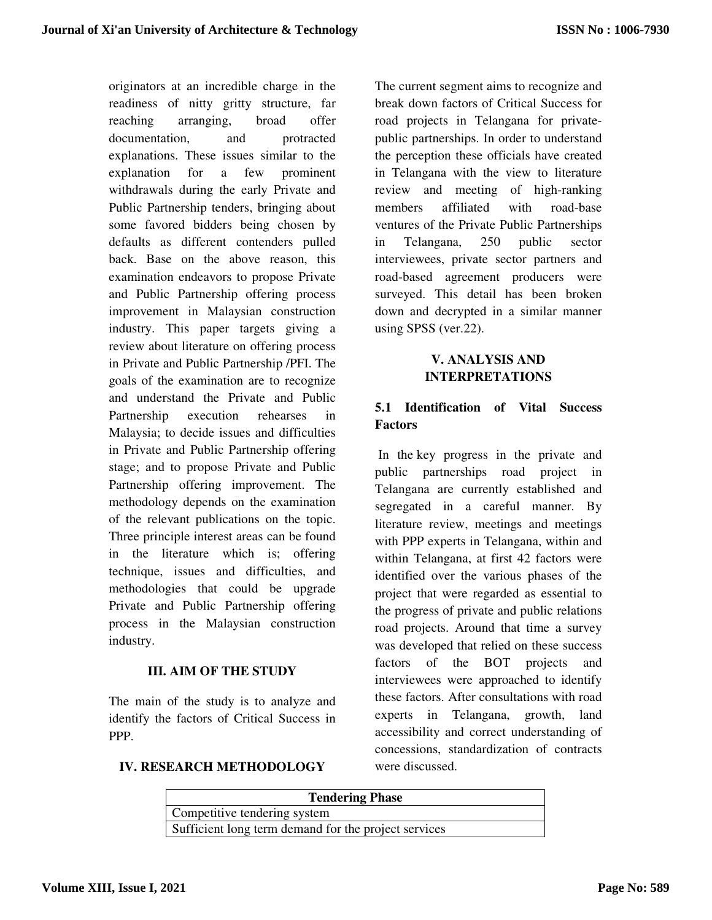originators at an incredible charge in the readiness of nitty gritty structure, far reaching arranging, broad offer documentation, and protracted explanations. These issues similar to the explanation for a few prominent withdrawals during the early Private and Public Partnership tenders, bringing about some favored bidders being chosen by defaults as different contenders pulled back. Base on the above reason, this examination endeavors to propose Private and Public Partnership offering process improvement in Malaysian construction industry. This paper targets giving a review about literature on offering process in Private and Public Partnership /PFI. The goals of the examination are to recognize and understand the Private and Public Partnership execution rehearses in Malaysia; to decide issues and difficulties in Private and Public Partnership offering stage; and to propose Private and Public Partnership offering improvement. The methodology depends on the examination of the relevant publications on the topic. Three principle interest areas can be found in the literature which is; offering technique, issues and difficulties, and methodologies that could be upgrade Private and Public Partnership offering process in the Malaysian construction industry.

## **III. AIM OF THE STUDY**

The main of the study is to analyze and identify the factors of Critical Success in PPP.

The current segment aims to recognize and break down factors of Critical Success for road projects in Telangana for privatepublic partnerships. In order to understand the perception these officials have created in Telangana with the view to literature review and meeting of high-ranking members affiliated with road-base ventures of the Private Public Partnerships in Telangana, 250 public sector interviewees, private sector partners and road-based agreement producers were surveyed. This detail has been broken down and decrypted in a similar manner using SPSS (ver.22).

# **V. ANALYSIS AND INTERPRETATIONS**

# **5.1 Identification of Vital Success Factors**

 In the key progress in the private and public partnerships road project in Telangana are currently established and segregated in a careful manner. By literature review, meetings and meetings with PPP experts in Telangana, within and within Telangana, at first 42 factors were identified over the various phases of the project that were regarded as essential to the progress of private and public relations road projects. Around that time a survey was developed that relied on these success factors of the BOT projects and interviewees were approached to identify these factors. After consultations with road experts in Telangana, growth, land accessibility and correct understanding of concessions, standardization of contracts were discussed.

## **IV. RESEARCH METHODOLOGY**

| <b>Tendering Phase</b>                               |  |  |  |  |  |  |
|------------------------------------------------------|--|--|--|--|--|--|
| Competitive tendering system                         |  |  |  |  |  |  |
| Sufficient long term demand for the project services |  |  |  |  |  |  |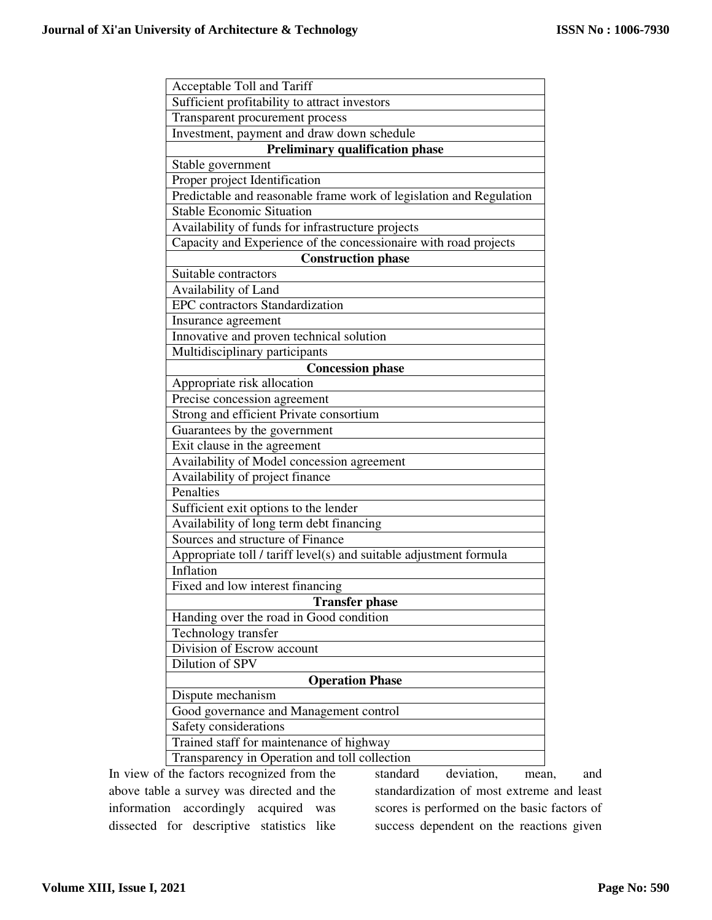| Acceptable Toll and Tariff                                          |  |  |  |  |  |  |  |  |
|---------------------------------------------------------------------|--|--|--|--|--|--|--|--|
| Sufficient profitability to attract investors                       |  |  |  |  |  |  |  |  |
| Transparent procurement process                                     |  |  |  |  |  |  |  |  |
| Investment, payment and draw down schedule                          |  |  |  |  |  |  |  |  |
| <b>Preliminary qualification phase</b>                              |  |  |  |  |  |  |  |  |
| Stable government                                                   |  |  |  |  |  |  |  |  |
| Proper project Identification                                       |  |  |  |  |  |  |  |  |
| Predictable and reasonable frame work of legislation and Regulation |  |  |  |  |  |  |  |  |
| <b>Stable Economic Situation</b>                                    |  |  |  |  |  |  |  |  |
| Availability of funds for infrastructure projects                   |  |  |  |  |  |  |  |  |
| Capacity and Experience of the concessionaire with road projects    |  |  |  |  |  |  |  |  |
| <b>Construction phase</b>                                           |  |  |  |  |  |  |  |  |
| Suitable contractors                                                |  |  |  |  |  |  |  |  |
| Availability of Land                                                |  |  |  |  |  |  |  |  |
| <b>EPC</b> contractors Standardization                              |  |  |  |  |  |  |  |  |
| Insurance agreement                                                 |  |  |  |  |  |  |  |  |
| Innovative and proven technical solution                            |  |  |  |  |  |  |  |  |
| Multidisciplinary participants                                      |  |  |  |  |  |  |  |  |
| <b>Concession phase</b>                                             |  |  |  |  |  |  |  |  |
| Appropriate risk allocation                                         |  |  |  |  |  |  |  |  |
| Precise concession agreement                                        |  |  |  |  |  |  |  |  |
| Strong and efficient Private consortium                             |  |  |  |  |  |  |  |  |
| Guarantees by the government                                        |  |  |  |  |  |  |  |  |
| Exit clause in the agreement                                        |  |  |  |  |  |  |  |  |
| Availability of Model concession agreement                          |  |  |  |  |  |  |  |  |
| Availability of project finance                                     |  |  |  |  |  |  |  |  |
| Penalties                                                           |  |  |  |  |  |  |  |  |
| Sufficient exit options to the lender                               |  |  |  |  |  |  |  |  |
| Availability of long term debt financing                            |  |  |  |  |  |  |  |  |
| Sources and structure of Finance                                    |  |  |  |  |  |  |  |  |
| Appropriate toll / tariff level(s) and suitable adjustment formula  |  |  |  |  |  |  |  |  |
| Inflation                                                           |  |  |  |  |  |  |  |  |
| Fixed and low interest financing                                    |  |  |  |  |  |  |  |  |
| <b>Transfer phase</b>                                               |  |  |  |  |  |  |  |  |
| Handing over the road in Good condition                             |  |  |  |  |  |  |  |  |
| Technology transfer                                                 |  |  |  |  |  |  |  |  |
| Division of Escrow account                                          |  |  |  |  |  |  |  |  |
| Dilution of SPV                                                     |  |  |  |  |  |  |  |  |
| <b>Operation Phase</b>                                              |  |  |  |  |  |  |  |  |
| Dispute mechanism                                                   |  |  |  |  |  |  |  |  |
| Good governance and Management control                              |  |  |  |  |  |  |  |  |
| Safety considerations                                               |  |  |  |  |  |  |  |  |
| Trained staff for maintenance of highway                            |  |  |  |  |  |  |  |  |
| Transparency in Operation and toll collection                       |  |  |  |  |  |  |  |  |

In view of the factors recognized from the above table a survey was directed and the information accordingly acquired was dissected for descriptive statistics like

standard deviation, mean, and standardization of most extreme and least scores is performed on the basic factors of success dependent on the reactions given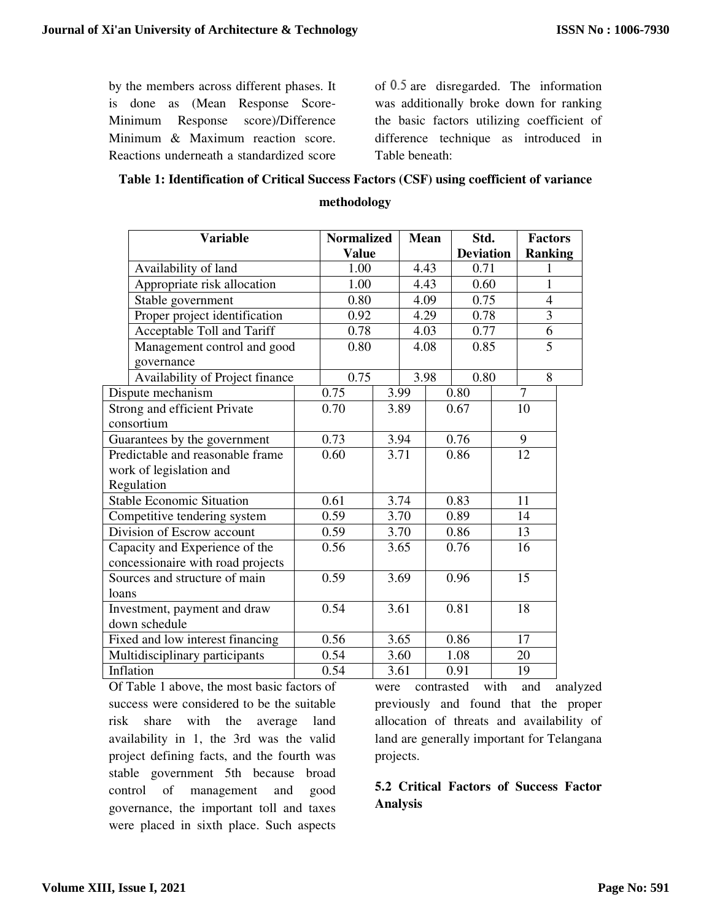by the members across different phases. It is done as (Mean Response Score-Minimum Response score)/Difference Minimum & Maximum reaction score. Reactions underneath a standardized score of  $0.5$  are disregarded. The information was additionally broke down for ranking the basic factors utilizing coefficient of difference technique as introduced in Table beneath:

#### **Table 1: Identification of Critical Success Factors (CSF) using coefficient of variance**

|                                  | <b>Variable</b>                   |  | <b>Normalized</b> |      |      | <b>Mean</b>      | Std. |      | <b>Factors</b> |  |
|----------------------------------|-----------------------------------|--|-------------------|------|------|------------------|------|------|----------------|--|
|                                  |                                   |  | <b>Value</b>      |      |      | <b>Deviation</b> |      |      | Ranking        |  |
|                                  | Availability of land              |  | 1.00              |      |      | 4.43             |      | 0.71 |                |  |
|                                  | Appropriate risk allocation       |  | 1.00              |      |      | 4.43<br>0.60     |      |      | $\mathbf{1}$   |  |
|                                  | Stable government                 |  | 0.80              |      |      | 0.75<br>4.09     |      |      | $\overline{4}$ |  |
|                                  | Proper project identification     |  | 0.92              |      | 4.29 |                  | 0.78 |      | $\overline{3}$ |  |
|                                  | Acceptable Toll and Tariff        |  | 0.78              |      |      | 4.03             | 0.77 |      | 6              |  |
|                                  | Management control and good       |  | 0.80              |      |      | 4.08             | 0.85 |      | $\overline{5}$ |  |
|                                  | governance                        |  |                   |      |      |                  |      |      |                |  |
|                                  | Availability of Project finance   |  | 0.75              |      |      | 3.98             | 0.80 |      | 8              |  |
|                                  | Dispute mechanism                 |  | 0.75              |      | 3.99 |                  | 0.80 |      | $\overline{7}$ |  |
|                                  | Strong and efficient Private      |  | 0.70              |      | 3.89 |                  | 0.67 |      | 10             |  |
|                                  | consortium                        |  |                   |      |      |                  |      |      |                |  |
|                                  | Guarantees by the government      |  | 0.73              |      | 3.94 |                  | 0.76 |      | 9              |  |
| Predictable and reasonable frame |                                   |  | 0.60              |      | 3.71 |                  | 0.86 |      | 12             |  |
| work of legislation and          |                                   |  |                   |      |      |                  |      |      |                |  |
|                                  | Regulation                        |  |                   |      |      |                  |      |      |                |  |
|                                  | <b>Stable Economic Situation</b>  |  | $\overline{0.61}$ |      | 3.74 |                  | 0.83 |      | 11             |  |
|                                  | Competitive tendering system      |  | 0.59              |      | 3.70 |                  | 0.89 |      | 14             |  |
|                                  | Division of Escrow account        |  | 0.59              | 3.70 |      | 0.86             |      | 13   |                |  |
|                                  | Capacity and Experience of the    |  | 0.56              |      | 3.65 |                  | 0.76 |      | 16             |  |
|                                  | concessionaire with road projects |  |                   |      |      |                  |      |      |                |  |
| Sources and structure of main    |                                   |  | 0.59              |      | 3.69 |                  | 0.96 |      | 15             |  |
| loans                            |                                   |  |                   |      |      |                  |      |      |                |  |
| Investment, payment and draw     |                                   |  | 0.54              |      | 3.61 |                  | 0.81 |      | 18             |  |
| down schedule                    |                                   |  |                   |      |      |                  |      |      |                |  |
| Fixed and low interest financing |                                   |  | 0.56              |      | 3.65 |                  | 0.86 |      | 17             |  |
|                                  | Multidisciplinary participants    |  | 0.54              |      | 3.60 |                  | 1.08 |      | 20             |  |
| Inflation                        |                                   |  | 0.54              |      | 3.61 |                  | 0.91 |      | 19             |  |

**methodology** 

Of Table 1 above, the most basic factors of success were considered to be the suitable risk share with the average land availability in 1, the 3rd was the valid project defining facts, and the fourth was stable government 5th because broad control of management and good governance, the important toll and taxes were placed in sixth place. Such aspects

were contrasted with and analyzed previously and found that the proper allocation of threats and availability of land are generally important for Telangana projects.

# **5.2 Critical Factors of Success Factor Analysis**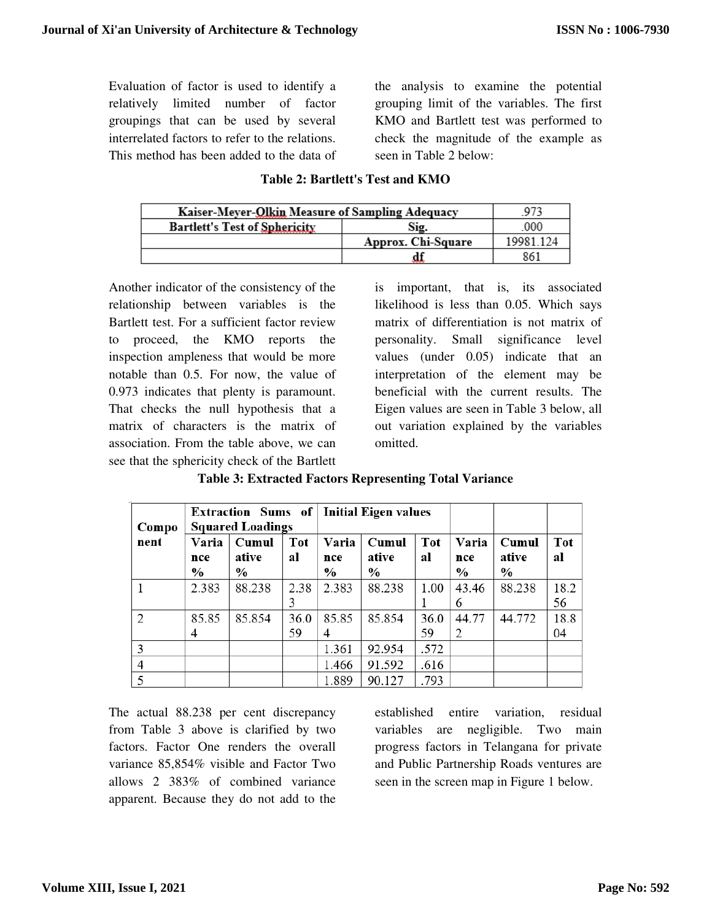Evaluation of factor is used to identify a relatively limited number of factor groupings that can be used by several interrelated factors to refer to the relations. This method has been added to the data of the analysis to examine the potential grouping limit of the variables. The first KMO and Bartlett test was performed to check the magnitude of the example as seen in Table 2 below:

| Kaiser-Meyer-Olkin Measure of Sampling Adequacy | 973                |           |
|-------------------------------------------------|--------------------|-----------|
| <b>Bartlett's Test of Sphericity</b>            | .000               |           |
|                                                 | Approx. Chi-Square | 19981 124 |
|                                                 |                    | 861       |

#### **Table 2: Bartlett's Test and KMO**

Another indicator of the consistency of the relationship between variables is the Bartlett test. For a sufficient factor review to proceed, the KMO reports the inspection ampleness that would be more notable than 0.5. For now, the value of 0.973 indicates that plenty is paramount. That checks the null hypothesis that a matrix of characters is the matrix of association. From the table above, we can see that the sphericity check of the Bartlett

is important, that is, its associated likelihood is less than 0.05. Which says matrix of differentiation is not matrix of personality. Small significance level values (under 0.05) indicate that an interpretation of the element may be beneficial with the current results. The Eigen values are seen in Table 3 below, all out variation explained by the variables omitted.

**Table 3: Extracted Factors Representing Total Variance** 

| Compo |                               | Extraction Sums of   Initial Eigen values<br><b>Squared Loadings</b> |                  |                               |                                 |                  |                               |                        |                  |
|-------|-------------------------------|----------------------------------------------------------------------|------------------|-------------------------------|---------------------------------|------------------|-------------------------------|------------------------|------------------|
| nent  | Varia<br>nce<br>$\frac{0}{0}$ | Cumul<br>ative<br>$\frac{0}{0}$                                      | <b>Tot</b><br>al | Varia<br>nce<br>$\frac{0}{0}$ | Cumul<br>ative<br>$\frac{0}{0}$ | <b>Tot</b><br>al | Varia<br>nce<br>$\frac{0}{0}$ | Cumul<br>ative<br>$\%$ | <b>Tot</b><br>al |
|       | 2.383                         | 88.238                                                               | 2.38<br>3        | 2.383                         | 88.238                          | 1.00             | 43.46<br>6                    | 88.238                 | 18.2<br>56       |
| 2     | 85.85<br>4                    | 85.854                                                               | 36.0<br>59       | 85.85<br>4                    | 85.854                          | 36.0<br>59       | 44.77<br>2                    | 44.772                 | 18.8<br>04       |
| 3     |                               |                                                                      |                  | 1.361                         | 92.954                          | .572             |                               |                        |                  |
| 4     |                               |                                                                      |                  | 1.466                         | 91.592                          | .616             |                               |                        |                  |
|       |                               |                                                                      |                  | 1.889                         | 90.127                          | .793             |                               |                        |                  |

The actual 88.238 per cent discrepancy from Table 3 above is clarified by two factors. Factor One renders the overall variance 85,854% visible and Factor Two allows 2 383% of combined variance apparent. Because they do not add to the

established entire variation, residual variables are negligible. Two main progress factors in Telangana for private and Public Partnership Roads ventures are seen in the screen map in Figure 1 below.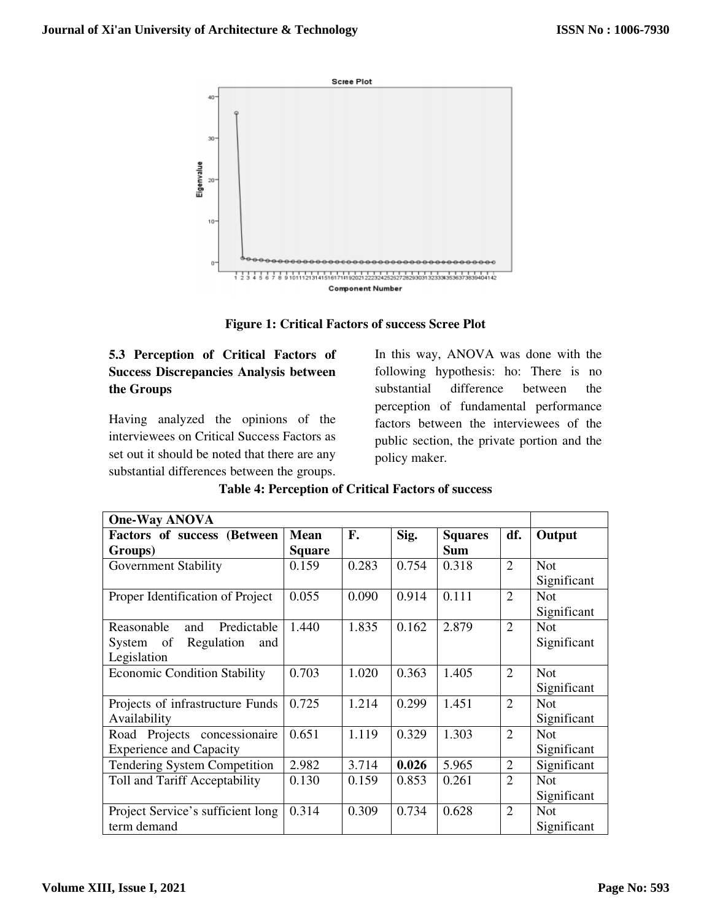

**Figure 1: Critical Factors of success Scree Plot** 

# **5.3 Perception of Critical Factors of Success Discrepancies Analysis between the Groups**

Having analyzed the opinions of the interviewees on Critical Success Factors as set out it should be noted that there are any substantial differences between the groups.

In this way, ANOVA was done with the following hypothesis: ho: There is no substantial difference between the perception of fundamental performance factors between the interviewees of the public section, the private portion and the policy maker.

| <b>One-Way ANOVA</b>                |               |       |       |                |                |             |
|-------------------------------------|---------------|-------|-------|----------------|----------------|-------------|
| Factors of success (Between         | <b>Mean</b>   | F.    | Sig.  | <b>Squares</b> | df.            | Output      |
| Groups)                             | <b>Square</b> |       |       | <b>Sum</b>     |                |             |
| <b>Government Stability</b>         | 0.159         | 0.283 | 0.754 | 0.318          | $\overline{2}$ | <b>Not</b>  |
|                                     |               |       |       |                |                | Significant |
| Proper Identification of Project    | 0.055         | 0.090 | 0.914 | 0.111          | $\overline{2}$ | <b>Not</b>  |
|                                     |               |       |       |                |                | Significant |
| Predictable<br>Reasonable<br>and    | 1.440         | 1.835 | 0.162 | 2.879          | 2              | <b>Not</b>  |
| System of Regulation<br>and         |               |       |       |                |                | Significant |
| Legislation                         |               |       |       |                |                |             |
| <b>Economic Condition Stability</b> | 0.703         | 1.020 | 0.363 | 1.405          | $\overline{2}$ | <b>Not</b>  |
|                                     |               |       |       |                |                | Significant |
| Projects of infrastructure Funds    | 0.725         | 1.214 | 0.299 | 1.451          | $\overline{2}$ | <b>Not</b>  |
| Availability                        |               |       |       |                |                | Significant |
| Road Projects concessionaire        | 0.651         | 1.119 | 0.329 | 1.303          | $\mathfrak{2}$ | <b>Not</b>  |
| <b>Experience and Capacity</b>      |               |       |       |                |                | Significant |
| <b>Tendering System Competition</b> | 2.982         | 3.714 | 0.026 | 5.965          | $\overline{2}$ | Significant |
| Toll and Tariff Acceptability       | 0.130         | 0.159 | 0.853 | 0.261          | 2              | <b>Not</b>  |
|                                     |               |       |       |                |                | Significant |
| Project Service's sufficient long   | 0.314         | 0.309 | 0.734 | 0.628          | $\overline{2}$ | <b>Not</b>  |
| term demand                         |               |       |       |                |                | Significant |

## **Table 4: Perception of Critical Factors of success**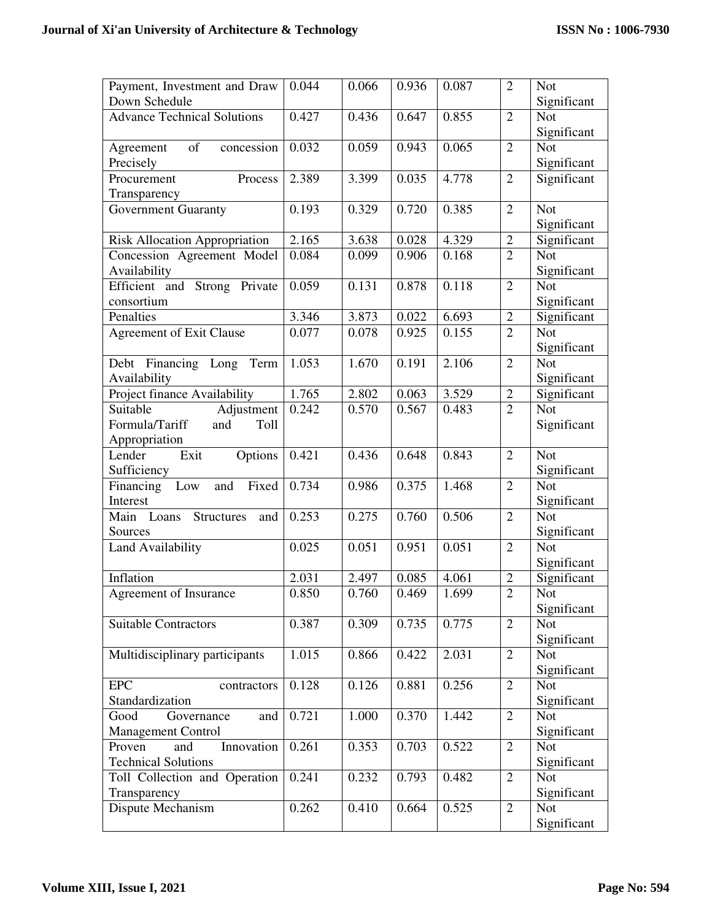| Payment, Investment and Draw         | 0.044 | 0.066 | 0.936 | 0.087 | $\overline{2}$ | <b>Not</b>  |
|--------------------------------------|-------|-------|-------|-------|----------------|-------------|
| Down Schedule                        |       |       |       |       |                | Significant |
| <b>Advance Technical Solutions</b>   | 0.427 | 0.436 | 0.647 | 0.855 | $\overline{2}$ | <b>Not</b>  |
|                                      |       |       |       |       |                | Significant |
| of<br>concession<br>Agreement        | 0.032 | 0.059 | 0.943 | 0.065 | $\overline{2}$ | <b>Not</b>  |
| Precisely                            |       |       |       |       |                | Significant |
| Process<br>Procurement               | 2.389 | 3.399 | 0.035 | 4.778 | $\overline{2}$ | Significant |
| Transparency                         |       |       |       |       |                |             |
| <b>Government Guaranty</b>           | 0.193 | 0.329 | 0.720 | 0.385 | $\overline{2}$ | <b>Not</b>  |
|                                      |       |       |       |       |                | Significant |
| <b>Risk Allocation Appropriation</b> | 2.165 | 3.638 | 0.028 | 4.329 | $\overline{2}$ | Significant |
| Concession Agreement Model           | 0.084 | 0.099 | 0.906 | 0.168 | $\overline{2}$ | <b>Not</b>  |
| Availability                         |       |       |       |       |                | Significant |
| Efficient and Strong Private         | 0.059 | 0.131 | 0.878 | 0.118 | $\overline{2}$ | <b>Not</b>  |
| consortium                           |       |       |       |       |                | Significant |
| Penalties                            | 3.346 | 3.873 | 0.022 | 6.693 | $\overline{2}$ | Significant |
| <b>Agreement of Exit Clause</b>      | 0.077 | 0.078 | 0.925 | 0.155 | $\overline{2}$ | <b>Not</b>  |
|                                      |       |       |       |       |                | Significant |
| Debt Financing Long Term             | 1.053 | 1.670 | 0.191 | 2.106 | $\overline{2}$ | <b>Not</b>  |
| Availability                         |       |       |       |       |                | Significant |
| Project finance Availability         | 1.765 | 2.802 | 0.063 | 3.529 | $\mathbf{2}$   | Significant |
| Suitable<br>Adjustment               | 0.242 | 0.570 | 0.567 | 0.483 | $\overline{2}$ | <b>Not</b>  |
| Formula/Tariff<br>and<br>Toll        |       |       |       |       |                | Significant |
| Appropriation                        |       |       |       |       |                |             |
| Lender<br>Options<br>Exit            | 0.421 | 0.436 | 0.648 | 0.843 | $\overline{2}$ | <b>Not</b>  |
| Sufficiency                          |       |       |       |       |                | Significant |
| Financing Low<br>Fixed<br>and        | 0.734 | 0.986 | 0.375 | 1.468 | $\overline{2}$ | <b>Not</b>  |
| Interest                             |       |       |       |       |                | Significant |
| Main Loans Structures<br>and         | 0.253 | 0.275 | 0.760 | 0.506 | $\overline{2}$ | <b>Not</b>  |
| Sources                              |       |       |       |       |                | Significant |
| <b>Land Availability</b>             | 0.025 | 0.051 | 0.951 | 0.051 | $\overline{2}$ | <b>Not</b>  |
|                                      |       |       |       |       |                | Significant |
| Inflation                            | 2.031 | 2.497 | 0.085 | 4.061 | $\overline{2}$ | Significant |
| Agreement of Insurance               | 0.850 | 0.760 | 0.469 | 1.699 | $\overline{2}$ | <b>Not</b>  |
|                                      |       |       |       |       |                | Significant |
| <b>Suitable Contractors</b>          | 0.387 | 0.309 | 0.735 | 0.775 | $\overline{2}$ | <b>Not</b>  |
|                                      |       |       |       |       |                | Significant |
| Multidisciplinary participants       | 1.015 | 0.866 | 0.422 | 2.031 | $\overline{2}$ | <b>Not</b>  |
|                                      |       |       |       |       |                | Significant |
| <b>EPC</b><br>contractors            | 0.128 | 0.126 | 0.881 | 0.256 | $\overline{2}$ | <b>Not</b>  |
| Standardization                      |       |       |       |       |                | Significant |
| Good<br>Governance<br>and            | 0.721 | 1.000 | 0.370 | 1.442 | $\overline{2}$ | <b>Not</b>  |
| <b>Management Control</b>            |       |       |       |       |                | Significant |
| Proven<br>Innovation<br>and          | 0.261 | 0.353 | 0.703 | 0.522 | $\overline{2}$ | <b>Not</b>  |
| <b>Technical Solutions</b>           |       |       |       |       |                | Significant |
| Toll Collection and Operation        | 0.241 | 0.232 | 0.793 | 0.482 | $\overline{2}$ | <b>Not</b>  |
| Transparency                         |       |       |       |       |                | Significant |
| Dispute Mechanism                    | 0.262 | 0.410 | 0.664 | 0.525 | $\overline{2}$ | <b>Not</b>  |
|                                      |       |       |       |       |                | Significant |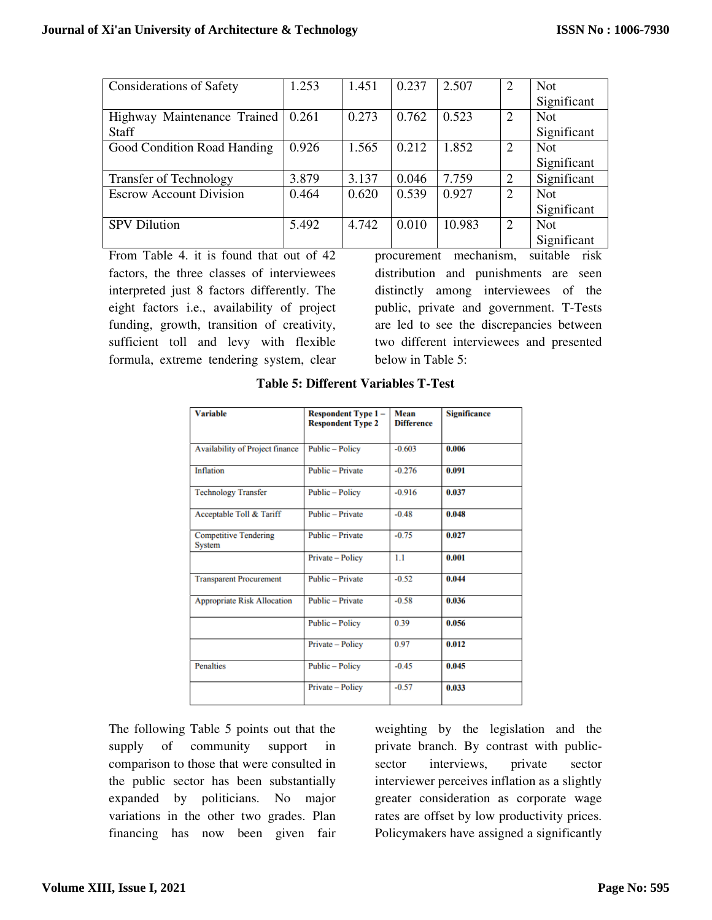| <b>Considerations of Safety</b> | 1.253 | 1.451 | 0.237 | 2.507  | 2              | <b>Not</b>  |
|---------------------------------|-------|-------|-------|--------|----------------|-------------|
|                                 |       |       |       |        |                | Significant |
| Highway Maintenance Trained     | 0.261 | 0.273 | 0.762 | 0.523  | 2              | <b>Not</b>  |
| <b>Staff</b>                    |       |       |       |        |                | Significant |
| Good Condition Road Handing     | 0.926 | 1.565 | 0.212 | 1.852  | 2              | <b>Not</b>  |
|                                 |       |       |       |        |                | Significant |
| <b>Transfer of Technology</b>   | 3.879 | 3.137 | 0.046 | 7.759  | 2              | Significant |
| <b>Escrow Account Division</b>  | 0.464 | 0.620 | 0.539 | 0.927  | $\overline{2}$ | <b>Not</b>  |
|                                 |       |       |       |        |                | Significant |
| <b>SPV Dilution</b>             | 5.492 | 4.742 | 0.010 | 10.983 | 2              | <b>Not</b>  |
|                                 |       |       |       |        |                | Significant |

From Table 4. it is found that out of 42 factors, the three classes of interviewees interpreted just 8 factors differently. The eight factors i.e., availability of project funding, growth, transition of creativity, sufficient toll and levy with flexible formula, extreme tendering system, clear

procurement mechanism, suitable risk distribution and punishments are seen distinctly among interviewees of the public, private and government. T-Tests are led to see the discrepancies between two different interviewees and presented below in Table 5:

| <b>Variable</b>                               | Respondent Type 1-<br><b>Respondent Type 2</b> | Mean<br><b>Difference</b> | <b>Significance</b> |
|-----------------------------------------------|------------------------------------------------|---------------------------|---------------------|
| <b>Availability of Project finance</b>        | Public - Policy                                | $-0.603$                  | 0.006               |
| <b>Inflation</b>                              | <b>Public - Private</b>                        | $-0.276$                  | 0.091               |
| <b>Technology Transfer</b>                    | Public - Policy                                | $-0.916$                  | 0.037               |
| Acceptable Toll & Tariff                      | Public - Private                               | $-0.48$                   | 0.048               |
| <b>Competitive Tendering</b><br><b>System</b> | Public - Private                               | $-0.75$                   | 0.027               |
|                                               | Private - Policy                               | 1.1                       | 0.001               |
| <b>Transparent Procurement</b>                | Public - Private                               | $-0.52$                   | 0.044               |
| <b>Appropriate Risk Allocation</b>            | Public - Private                               | $-0.58$                   | 0.036               |
|                                               | Public - Policy                                | 0.39                      | 0.056               |
|                                               | Private - Policy                               | 0.97                      | 0.012               |
| <b>Penalties</b>                              | Public - Policy                                | $-0.45$                   | 0.045               |
|                                               | Private - Policy                               | $-0.57$                   | 0.033               |

## **Table 5: Different Variables T-Test**

The following Table 5 points out that the supply of community support in comparison to those that were consulted in the public sector has been substantially expanded by politicians. No major variations in the other two grades. Plan financing has now been given fair

weighting by the legislation and the private branch. By contrast with publicsector interviews, private sector interviewer perceives inflation as a slightly greater consideration as corporate wage rates are offset by low productivity prices. Policymakers have assigned a significantly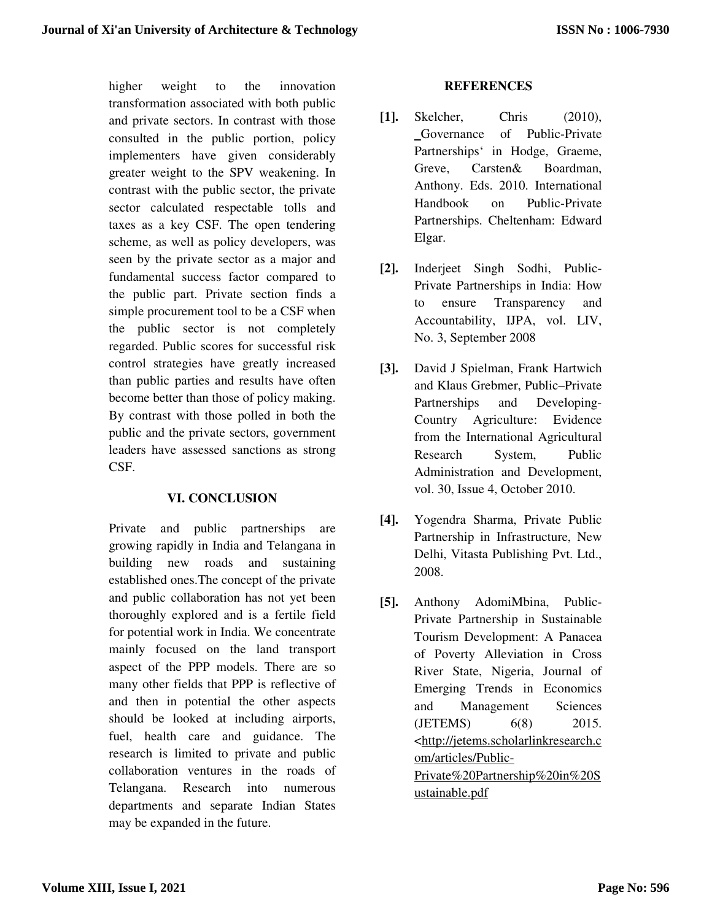higher weight to the innovation transformation associated with both public and private sectors. In contrast with those consulted in the public portion, policy implementers have given considerably greater weight to the SPV weakening. In contrast with the public sector, the private sector calculated respectable tolls and taxes as a key CSF. The open tendering scheme, as well as policy developers, was seen by the private sector as a major and fundamental success factor compared to the public part. Private section finds a simple procurement tool to be a CSF when the public sector is not completely regarded. Public scores for successful risk control strategies have greatly increased than public parties and results have often become better than those of policy making. By contrast with those polled in both the public and the private sectors, government leaders have assessed sanctions as strong CSF.

## **VI. CONCLUSION**

Private and public partnerships are growing rapidly in India and Telangana in building new roads and sustaining established ones.The concept of the private and public collaboration has not yet been thoroughly explored and is a fertile field for potential work in India. We concentrate mainly focused on the land transport aspect of the PPP models. There are so many other fields that PPP is reflective of and then in potential the other aspects should be looked at including airports, fuel, health care and guidance. The research is limited to private and public collaboration ventures in the roads of Telangana. Research into numerous departments and separate Indian States may be expanded in the future.

## **REFERENCES**

- **[1].** Skelcher, Chris (2010), ‗Governance of Public-Private Partnerships' in Hodge, Graeme, Greve, Carsten& Boardman, Anthony. Eds. 2010. International Handbook on Public-Private Partnerships. Cheltenham: Edward Elgar.
- **[2].** Inderjeet Singh Sodhi, Public-Private Partnerships in India: How to ensure Transparency and Accountability, IJPA, vol. LIV, No. 3, September 2008
- **[3].** David J Spielman, Frank Hartwich and Klaus Grebmer, Public–Private Partnerships and Developing-Country Agriculture: Evidence from the International Agricultural Research System, Public Administration and Development, vol. 30, Issue 4, October 2010.
- **[4].** Yogendra Sharma, Private Public Partnership in Infrastructure, New Delhi, Vitasta Publishing Pvt. Ltd., 2008.
- **[5].** Anthony AdomiMbina, Public-Private Partnership in Sustainable Tourism Development: A Panacea of Poverty Alleviation in Cross River State, Nigeria, Journal of Emerging Trends in Economics and Management Sciences (JETEMS) 6(8) 2015. <http://jetems.scholarlinkresearch.c om/articles/Public-Private%20Partnership%20in%20S ustainable.pdf